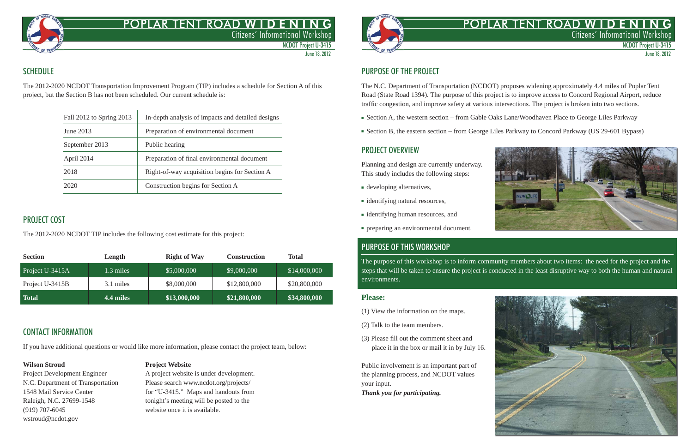# POPLAR TENT ROAD WID E N Citizens' Informational Workshop



# POPLAR TENT ROAD WID E N Citizens' Informational Workshop

NCDOT Project U-3415 June 18, 2012





NCDOT Project U-3415

June 18, 2012

## **SCHEDULE**

The 2012-2020 NCDOT Transportation Improvement Program (TIP) includes a schedule for Section A of this project, but the Section B has not been scheduled. Our current schedule is:

| Fall 2012 to Spring 2013 | In-depth analysis of impacts and detailed designs |  |
|--------------------------|---------------------------------------------------|--|
| June 2013                | Preparation of environmental document             |  |
| September 2013           | Public hearing                                    |  |
| April 2014               | Preparation of final environmental document       |  |
| 2018                     | Right-of-way acquisition begins for Section A     |  |
| 2020                     | Construction begins for Section A                 |  |

## PROJECT COST

The 2012-2020 NCDOT TIP includes the following cost estimate for this project:

The N.C. Department of Transportation (NCDOT) proposes widening approximately 4.4 miles of Poplar Tent Road (State Road 1394). The purpose of this project is to improve access to Concord Regional Airport, reduce traffic congestion, and improve safety at various intersections. The project is broken into two sections.

| <b>Section</b>  | Length    | <b>Right of Way</b> | <b>Construction</b> | <b>Total</b> |
|-----------------|-----------|---------------------|---------------------|--------------|
| Project U-3415A | 1.3 miles | \$5,000,000         | $\sqrt{59,000,000}$ | \$14,000,000 |
| Project U-3415B | 3.1 miles | \$8,000,000         | \$12,800,000        | \$20,800,000 |
| <b>Total</b>    | 4.4 miles | \$13,000,000        | \$21,800,000        | \$34,800,000 |

# CONTACT INFORMATION

If you have additional questions or would like more information, please contact the project team, below:

(919) 707-6045 website once it is available. wstroud@ncdot.gov

#### **Wilson Stroud Project Website**

Project Development Engineer A project website is under development. N.C. Department of Transportation Please search www.ncdot.org/projects/ 1548 Mail Service Center for "U-3415." Maps and handouts from Raleigh, N.C. 27699-1548 tonight's meeting will be posted to the



# PURPOSE OF THE PROJECT

- Section A, the western section from Gable Oaks Lane/Woodhaven Place to George Liles Parkway
- Section B, the eastern section from George Liles Parkway to Concord Parkway (US 29-601 Bypass)

### PROJECT OVERVIEW

Planning and design are currently underway. This study includes the following steps:

- developing alternatives,
- identifying natural resources,
- identifying human resources, and
- preparing an environmental document.

# PURPOSE OF THIS WORKSHOP

The purpose of this workshop is to inform community members about two items: the need for the project and the steps that will be taken to ensure the project is conducted in the least disruptive way to both the human and natural environments.

#### **Please:**

- (1) View the information on the maps.
- (2) Talk to the team members.
- (3) Please fill out the comment sheet and place it in the box or mail it in by July 16.

Public involvement is an important part of the planning process, and NCDOT values your input.

*Thank you for participating.*